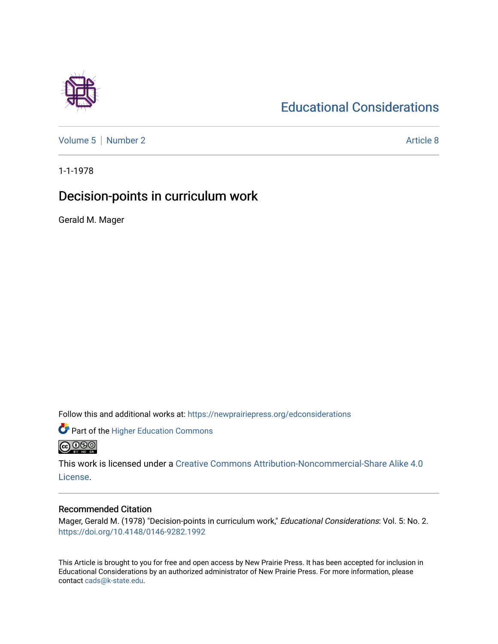## [Educational Considerations](https://newprairiepress.org/edconsiderations)

[Volume 5](https://newprairiepress.org/edconsiderations/vol5) | [Number 2](https://newprairiepress.org/edconsiderations/vol5/iss2) Article 8

1-1-1978

## Decision-points in curriculum work

Gerald M. Mager

Follow this and additional works at: [https://newprairiepress.org/edconsiderations](https://newprairiepress.org/edconsiderations?utm_source=newprairiepress.org%2Fedconsiderations%2Fvol5%2Fiss2%2F8&utm_medium=PDF&utm_campaign=PDFCoverPages) 

**Part of the Higher Education Commons @** 000

This work is licensed under a [Creative Commons Attribution-Noncommercial-Share Alike 4.0](https://creativecommons.org/licenses/by-nc-sa/4.0/) [License.](https://creativecommons.org/licenses/by-nc-sa/4.0/)

### Recommended Citation

Mager, Gerald M. (1978) "Decision-points in curriculum work," Educational Considerations: Vol. 5: No. 2. <https://doi.org/10.4148/0146-9282.1992>

This Article is brought to you for free and open access by New Prairie Press. It has been accepted for inclusion in Educational Considerations by an authorized administrator of New Prairie Press. For more information, please contact [cads@k-state.edu](mailto:cads@k-state.edu).

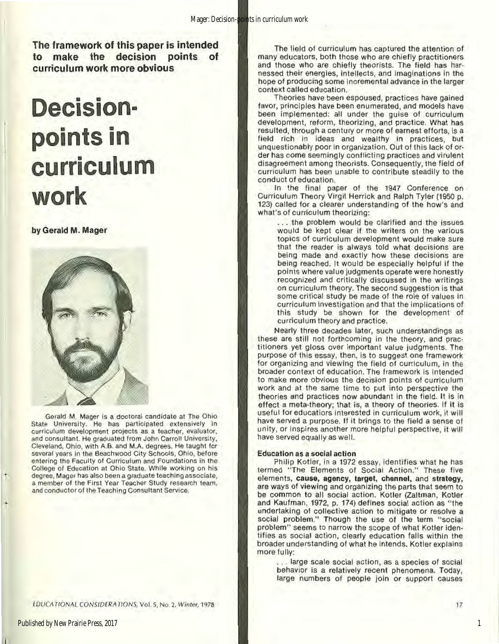The framework of this paper is intended to make the decision points of curriculum work more obvious

# **Decisionpoints in curriculum work**

by Gerald M. Mager



Gerald M. Mager is a doctoral candidate at The Ohio State University. He has participated extensively in curriculum development projects as a teacher, evaluator, and consultant. He graduated from John Carroll University, Cleveland, Ohio, with A.B. and M.A. degrees. He taught for several years in the Beachwood City Schools, Ohio, before entering the Faculty of Curriculum and Foundations in the College of Education at Ohio State. While working on his degree, Mager has also been a graduate teaching associate, a member of the First Year Teacher Study research team, and conductor of the Teaching Consultant Service.

*LDUCATIONAL CONSIDERATIONS, Vol. 5, No. 2, Winter, 1978* 

The field of curriculum has captured the attention of many educators, both those who are chiefly practitioners and those who are chiefly theorists. The field has har· nessed their energies, Intellects, and imaginations in the hope of producing some Incremental advance in the larger context called education.

Theories have been espoused, practices have gained favor, principles have been enumerated, and models have been implemented: all under the guise of curriculum development, reform, theorizing, and practice. What has resulted, through a century or more of earnest efforts, is a field rich in ideas and wealthy in practices, but unquestionably poor in organization. Out of this lack of or· der has come seemingly conflicting practices and virulent disagreement among theorists. Consequently, the field of curriculum has been unable to contribute steadily to the conduct of education.

In the final paper of the 1947 Conference on Curriculum Theory Virgil Herrick and Ralph Tyler (1950 p. 123) called for a clearer understanding of the how's and what's of curriculum theorizing:

... the problem would be clarified and the issues would be kept clear if the writers on the various topics of curriculum development would make sure that the reader is always told what decisions are being made and exactly how these decisions are being reached. It would be especially helpful if the points where value judgments operate were honestly recognized and critically discussed in the writings on curriculum theory. The second suggestion is that some critical study be made of the role of values in curriculum investigation and that the implications of this study be shown for the development of curriculum theory and practice.

Nearly three decades later, such understandings as these are still not forthcoming in the theory, and prac· titioners yet gloss over important value judgments. The purpose of this essay, then, is to suggest one framework for organizing and viewing the field of curriculum, in the broader context of education. The framework Is Intended to make more obvious the decision points of curriculum work and at the same time to put into perspective the theories and practices now abundant in the field. It is in effect a meta-theory; that is, a theory of theories. If it is useful for educatiors interested in curriculum work, It will have served a purpose. If it brings to the field a sense of unity, or Inspires another more helpful perspective, It will have served equally as well.

#### Education as a social action

Philip Kotler, in a 1972 essay, identifies what he has termed ''The Elements of Social Action." These five elements, cause, agency, target, channel, and strategy, are ways of viewing and organizing the parts that seem to be common to all social action. Kotler (Zaltman, Kotler and Kaufman, 1972, p. 174) defines social action as "the undertaking of collective action to mitigate or resolve a social problem." Though the use of the term "social problem" seems to narrow the scope of what Kotler Iden· tifies as social action, clearly education falls within the broader understanding of what he Intends. Kotler explains more fully:

... large scale social action, as a species of social behavior is a relatively recent phenomena. Today, large numbers of people join or support causes

1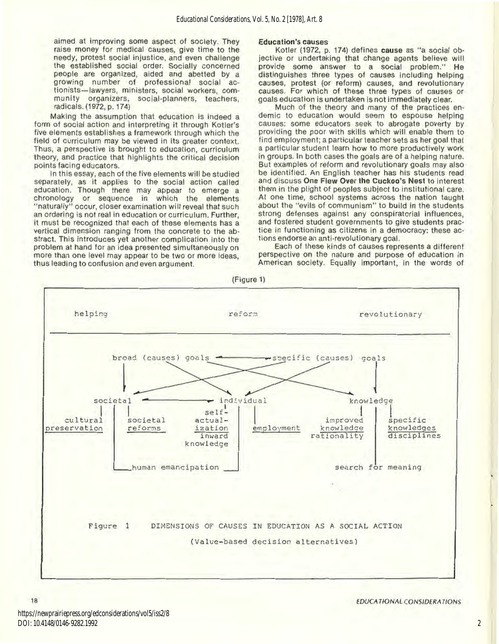aimed at improving some aspect of society. They raise money for medical causes, give time to the needy, protest social injustice, and even challenge the established social order. Socially concerned people are organized, aided and abetted by a growing number of professional social ac· tionists-lawyers, ministers, social workers, com· munity organizers, social-planners, teachers, radicals. (1972, p. 174)

Making the assumption that education is indeed a form of social action and interpreting it through Kotler's five elements establishes a framework through which the field of curriculum may be viewed in its greater context. Thus, a perspective is brought to education, curriculum theory, and practice that highlights the critical decision points facing educators.

Jn this essay, each of the five elements will be studied separately, as it applies to the social action called education. Though there may appear to emerge a chronology or sequence in which the elements "naturally" occur, closer examination will reveal that such an ordering is not real in education or curriculum. Further, it must be recognized that each of these elements has a vertical dimension ranging from the concrete to the ab· stract. This introduces yet another complication Into the problem at hand for an idea presented simultaneously on more than one level may appear to be two or more ideas, thus leading to confusion and even argument.

#### Education's causes

Kotler (1972, p. 174) defines cause as "a social objective or undertaking that change agents believe will provide some answer to a social problem." He distinguishes three types of causes Including helping causes, protest (or reform) causes, and revolutionary causes. For which of these three types of causes or goals education is undertaken Is not Immediately clear.

Much of the theory and many of the practices en· demic to education would seem to espouse helping causes: some educators seek to abrogate poverty by providing the poor with skills which will enable them to find employment; a particular teacher sets as her goal that a particular student learn how to more productively work in groups. In both cases the goals are of a helping nature. But examples of reform and revolutionary goals may also be identified. An English teacher has his students read and discuss One Flew Over the Cuckoo's Nest to interest them in the plight of peoples subject to institutional care. At one time, school systems across the nation taught about the "evils of communism" to build in the students strong defenses against any conspiratorial influences, and fostered student governments to give students prac· tice in functioning as citizens in a democracy: these actions endorse an anti-revolutionary goal.

Each of these kinds of causes represents a different perspective on the nature and purpose of education in American society. Equally important, in the words of



18 EDUCATIONAL CONSIDERATIONS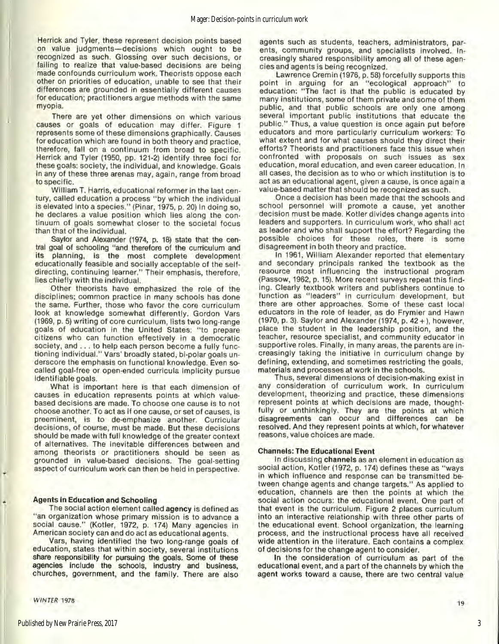Herrick and Tyler, these represent decision points based on value judgments-decisions which ought to be recognized as such. Glossing over such decisions, or tailing to realize that value·based decisions are being made confounds curriculum work. Theorists oppose each other on priorities of education, unable to see that their differences are grounded in essentially different causes for education; practitioners argue methods with the same myopia.

There are yet other dimensions on which various causes or goals of education may differ. Figure t represents some of these dimensions graphically. Causes for education which are found in both theory and practice, therefore, fall on a continuum from broad to specific. Herrick and Tyler (1950, pp. t2t-2) identify three foci tor these goals: society, the individual, and knowledge. Goals in any of these three arenas may, again, range from broad to specific.

William T. Harris, educational reformer in the last century, called education a process "by which the individual is elevated Into a species." (Pinar, 1975, p. 20) In doing so, he declares a value position which lies along the continuum of goals somewhat closer to the societal focus than that of the individual.

Saylor and Alexander (1974, p. 18) state that the central goal of schooling "and therefore of the curriculum and its planning, is the most complete development educationally feasible and socially acceptable of the self· directing, continuing learner." Their emphasis, therefore, lies chiefly with the individual.

Other theorists have emphasized the role of the disciplines; common practice in many schools has done the same. Further, those who favor the core curriculum look at knowledge somewhat differently. Gordon Vars (1969, p. 5) writing of core curriculum, lists two long-range goals of education in the United States: "to prepare citizens who can function effectively in a democratic society, and . . . to help each person become a fully functioning individual." Vars' broadly stated, bi-polar goals underscore the emphasis on functional knowledge. Even socalled goal·free or open-ended curricula lmplicity pursue identifiable goals.

What is important here is that each dimension of causes in education represents points at which valuebased decisions are made. To choose one cause is to not choose another. To act as if one cause, or set of causes, is preeminent, is to de-emphasize another. Curricular decisions, of course, must be made. But these decisions should be made with full knowledge of the greater context of alternatives. The Inevitable differences between and among theorists or practitioners should be seen as grounded in vatue·based decisions. The goal-setting aspect of curriculum work can then be held in perspective.

#### Agents in Education and Schooling

The social action element called agency is defined as "an organization whose primary mission is to advance a social cause." (Kotler, 1972, p. 174) Many agencies in American society can and do act as educational agents.

Vars, having identified the two long-range goals of education, states that within society, several Institutions share responsibility for pursuing the goals. Some of these agencies include the schools, industry and business, churches, government, and the family. There are also

WINTER 1978

•

agents such as students, teachers, administrators, par· ents, community groups, and specialists involved. In· creasingly shared responsibility among all of these agen· cies and agents is being recognized.

Lawrence Cremin (1976, p. 58) forcefully supports this point in arguing for an "ecological approach" to education: "The fact is that the public is educated by many institutions, some of them private and some of them public, and that public schools are only one among several important public institutions that educate the public." Thus, a value question is once again put before educators and more particularly curriculum workers: To what extent and for what causes should they direct their efforts? Theorists and practitioners face this Issue when confronted with proposals on such issues as sex education, moral education, and even career education. In all cases, the decision as to who or which institution Is to act as an educational agent, given a cause, is once again a value-based matter that should be recognized as such.

Once a decision has been made that the schools and school personnel will promote a cause, yet another decision must be made. Kotler divides change agents into leaders and supporters. In curriculum work, who shall act as leader and who shall support the effort? Regarding the possible choices for these roles, there is some disagreement in both theory and practice.

In 1961, William Alexander reported that elementary and secondary principals ranked the textbook as the resource most influencing the instructional program (Passow, 1962, p. 15). More recent surveys repeat this find· ing. Clearly textbook writers and publishers continue to function as "leaders" in curriculum development, but there are other approaches. Some of these cast local educators In the role of leader, as do Frymier and Hawn (1970, p. 3). Saylor and Alexander (1974, p. 42+ ), however, place the student in the leadership position, and the teacher, resource specialist, and community educator In supportive roles. Finally, in many areas, the parents are in· creasingly taking the initiative in curriculum change by defining, extending, and sometimes restricting the goals, materials and processes at work in the schools.

Thus, several dimensions of decision-making exist in any consideration of curriculum work. In curriculum development, theorizing and practice, these dimensions represent points at which decisions are made, thought· fully or unthinkingly. They are the points at which disagreements can occur and differences can be resolved. And they represent points at which, for whatever reasons, value choices are made.

#### Channels: The Educational **Event**

In discussing channels as an element in education as social action, Kotler (1972, p. 174) defines these as "ways in which influence and response can be transmitted be· tween change agents and change targets." As applied to education, channels are then the points at which the social action occurs: the educational event. One part of that event is the curriculum. Figure 2 places curriculum into an interactive relationship with three other parts of the educational event. School organization, the learning process, and the instructional process have all received wide attention in the literature. Each contains a complex of decisions for the change agent to consider.

In the consideration of curriculum as part of the educational event, and a part of the channels by which the agent works toward a cause, there are two central value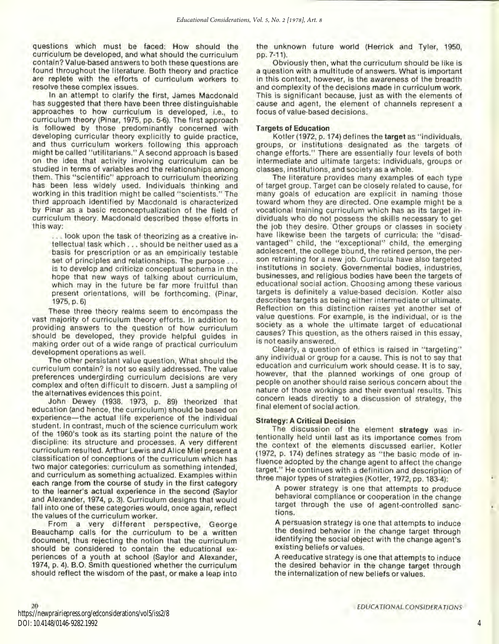questions which must be faced: How should the curriculum be developed, and what should the curriculum contain? Value-based answers to both these questions are found throughout the literature. Both theory and practice are replete with the efforts of curriculum workers to resolve these complex issues.

In an attempt to clarify the first, James Macdonald has suggested that there have been three distinguishable approaches to how curriculum is developed, i.e., to curriculum theory (Pinar, 1975, pp. 5-6). The first approach Is followed by those predominantly concerned with developing curricular theory explicitly to guide practice, and thus curriculum workers following this approach might be called "utilitarians." A second approach Is based on the idea that activity involving curriculum can be studied in terms of variables and the relationships among them. This "scientific" approach to curriculum theorizing has been less widely used. Individuals thinking and working in this tradition might be called "scientists." The third approach identified by Macdonald is characterized by Pinar as a basic reconceptualization of the field of curriculum theory. Macdonald described these efforts in this way:

... look upon the task of theorizing as a creative in· tellectual task which ... should be neither used as a basis for prescription or as an empirically testable set of principles and relationships. The purpose ... is to develop and criticize conceptual schema in the hope that new ways of talking about curriculum, which may in the future be far more fruitful than present orientations, will be forthcoming. (Pinar, 1975, p. 6)

These three theory realms seem to encompass the vast majority of curriculum theory efforts. In addition to providing answers to the question of how curriculum should be developed, they provide helpful guides in making order out of a wide range of practical curriculum development operations as well.

The other persistant value question, What should the curriculum contain? is not so easily addressed. The value preferences undergirding curriculum decisions are very complex and often difficult to discern. Just a sampling of the alternatives evidences this point.

John Dewey (1938. 1973, p. 89) theorized that education (and hence, the curriculum) should be based on experience-the actual life experience of the individual student. In contrast, much of the science curriculum work of the 1960's took as its starting point the nature of the discipline: its structure and processes. A very different curriculum resulted. Arthur Lewis and Alice Miel present a classification of conceptions of the curriculum which has two major categories: curriculum as something intended, and curriculum as something actualized. Examples within each range from the course of study in the first category to the learner's actual experience in the second (SayJor and Alexander, 1974, p. 3). Curriculum designs that would fall into one of these categories would, once again, reflect the values of the curriculum worker.

From a very different perspective, George Beauchamp calls for the curriculum to be a written document, thus rejecting the notion that the curriculum should be considered to contain the educational ex· periences of a youth at school (Saylor and Alexander, 1974, p. 4). B.O. Smith questioned whether the curriculum should reflect the wisdom of the past, or make a leap into the unknown future world (Herrick and Tyler, 1950, pp. 7·11).

Obviously then, what the curriculum should be like is a question with a multitude of answers. What is important in this context, however, is the awareness of the breadth and complexity of the decisions made in curriculum work. This is significant because, just as with the elements of cause and agent, the element of channels represent a focus of value-based decisions.

#### Targets of Education

Kotler (1972, p. 174) defines the target as "individuals, groups, or institutions designated as the targets of change efforts." There are essentially four levels of both intermediate and ultimate targets: individuals, groups or classes, institutions, and society as a whole.

The literature provides many examples of each type of target group. Target can be closely related to cause, for many goals of education are explicit in naming those toward whom they are directed. One example might be a vocational training curriculum which has as its target in· dividuals who do not possess the skills necessary to get the job they desire. Other groups or classes in society have likewise been the targets of curricula: the ''disad· vantaged" child, the "exceptional" child, the emerging adolescent, the college bound, the retired person, the per· son retraining for a new job. Curricula have also targeted Institutions in society. Governmental bodies, industries, businesses, and religious bodies have been the targets of educational social action. Choosing among these various targets is definitely a value-based decision. Kotler also describes targets as being either intermediate or ultimate. Reflection on this distinction raises yet another set of value questions. For example, is the individual, or is the society as a whole the ultimate target of educational causes? This question, as the others raised in this essay, is not easily answered.

Clearly, a question of ethics is raised in "targeting" any individual or group for a cause. This is not to say that education and curriculum work should cease. It is to say, however, that the planned workings of one group of people on another should raise serious concern about the nature of those workings and their eventual results. This concern leads directly to a discussion of strategy, the final element of social action.

#### Strategy: A Critical Decision

The discussion of the element strategy was In· tentionally held until last as its Importance comes from the context of the elements discussed earlier. Kotler (1972, p. 174) defines strategy as "the basic mode of in· fluence adopted by the change agent to affect the change target." He continues with a definition and description of three major types of strategies (Kotler, 1972, pp. 183-4):

A power strategy is one that attempts to produce behavioral compliance or cooperation In the change target through the use of agent-controlled sanctions.

A persuasion strategy Is one that attempts to induce the desired behavior in the change target through identifying the social object with the change agent's existing beliefs or values.

A reeducative strategy is one that attempts to induce the desired behavior in the change target through the internalization of new beliefs or values.